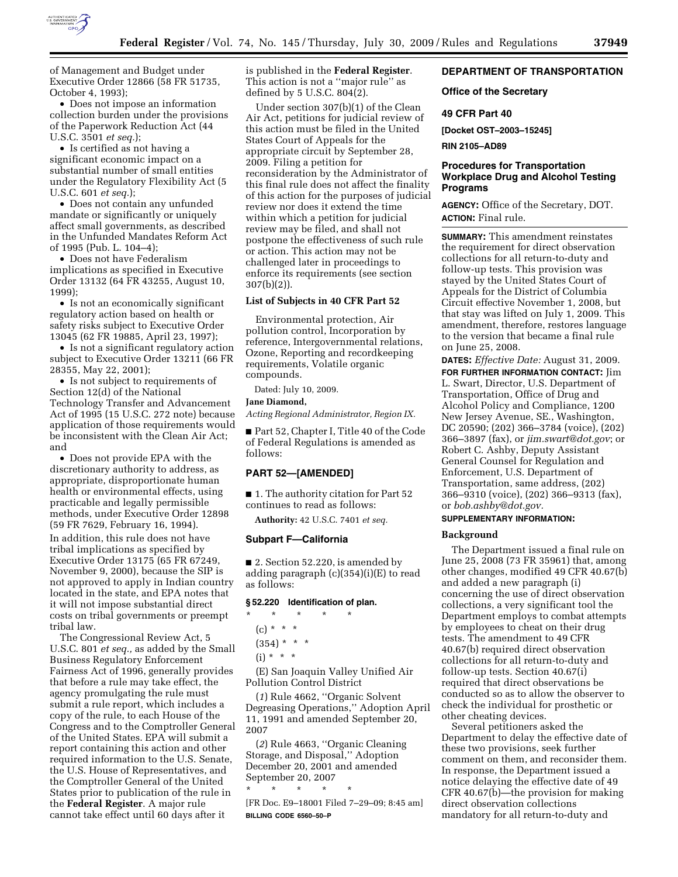

of Management and Budget under Executive Order 12866 (58 FR 51735, October 4, 1993);

• Does not impose an information collection burden under the provisions of the Paperwork Reduction Act (44 U.S.C. 3501 *et seq.*);

• Is certified as not having a significant economic impact on a substantial number of small entities under the Regulatory Flexibility Act (5 U.S.C. 601 *et seq.*);

• Does not contain any unfunded mandate or significantly or uniquely affect small governments, as described in the Unfunded Mandates Reform Act of 1995 (Pub. L. 104–4);

• Does not have Federalism implications as specified in Executive Order 13132 (64 FR 43255, August 10, 1999);

• Is not an economically significant regulatory action based on health or safety risks subject to Executive Order 13045 (62 FR 19885, April 23, 1997);

• Is not a significant regulatory action subject to Executive Order 13211 (66 FR 28355, May 22, 2001);

• Is not subject to requirements of Section 12(d) of the National Technology Transfer and Advancement Act of 1995 (15 U.S.C. 272 note) because application of those requirements would be inconsistent with the Clean Air Act; and

• Does not provide EPA with the discretionary authority to address, as appropriate, disproportionate human health or environmental effects, using practicable and legally permissible methods, under Executive Order 12898 (59 FR 7629, February 16, 1994). In addition, this rule does not have tribal implications as specified by Executive Order 13175 (65 FR 67249, November 9, 2000), because the SIP is not approved to apply in Indian country located in the state, and EPA notes that it will not impose substantial direct costs on tribal governments or preempt tribal law.

The Congressional Review Act, 5 U.S.C. 801 *et seq.,* as added by the Small Business Regulatory Enforcement Fairness Act of 1996, generally provides that before a rule may take effect, the agency promulgating the rule must submit a rule report, which includes a copy of the rule, to each House of the Congress and to the Comptroller General of the United States. EPA will submit a report containing this action and other required information to the U.S. Senate, the U.S. House of Representatives, and the Comptroller General of the United States prior to publication of the rule in the **Federal Register**. A major rule cannot take effect until 60 days after it

is published in the **Federal Register**. This action is not a ''major rule'' as defined by 5 U.S.C. 804(2).

Under section 307(b)(1) of the Clean Air Act, petitions for judicial review of this action must be filed in the United States Court of Appeals for the appropriate circuit by September 28, 2009. Filing a petition for reconsideration by the Administrator of this final rule does not affect the finality of this action for the purposes of judicial review nor does it extend the time within which a petition for judicial review may be filed, and shall not postpone the effectiveness of such rule or action. This action may not be challenged later in proceedings to enforce its requirements (see section 307(b)(2)).

#### **List of Subjects in 40 CFR Part 52**

Environmental protection, Air pollution control, Incorporation by reference, Intergovernmental relations, Ozone, Reporting and recordkeeping requirements, Volatile organic compounds.

Dated: July 10, 2009.

# **Jane Diamond,**

*Acting Regional Administrator, Region IX.* 

■ Part 52, Chapter I, Title 40 of the Code of Federal Regulations is amended as follows:

# **PART 52—[AMENDED]**

■ 1. The authority citation for Part 52 continues to read as follows:

**Authority:** 42 U.S.C. 7401 *et seq.* 

#### **Subpart F—California**

■ 2. Section 52.220, is amended by adding paragraph  $(c)(354)(i)(E)$  to read as follows:

# **§ 52.220 Identification of plan.**

\* \* \* \* \*  $(c) * * * *$  $(354) * * * *$  $(i) * * * *$ 

(E) San Joaquin Valley Unified Air Pollution Control District

(*1*) Rule 4662, ''Organic Solvent Degreasing Operations,'' Adoption April 11, 1991 and amended September 20, 2007

(*2*) Rule 4663, ''Organic Cleaning Storage, and Disposal,'' Adoption December 20, 2001 and amended September 20, 2007

\* \* \* \* \*

[FR Doc. E9–18001 Filed 7–29–09; 8:45 am] **BILLING CODE 6560–50–P** 

## **DEPARTMENT OF TRANSPORTATION**

#### **Office of the Secretary**

## **49 CFR Part 40**

**[Docket OST–2003–15245]** 

**RIN 2105–AD89** 

## **Procedures for Transportation Workplace Drug and Alcohol Testing Programs**

**AGENCY:** Office of the Secretary, DOT. **ACTION:** Final rule.

**SUMMARY:** This amendment reinstates the requirement for direct observation collections for all return-to-duty and follow-up tests. This provision was stayed by the United States Court of Appeals for the District of Columbia Circuit effective November 1, 2008, but that stay was lifted on July 1, 2009. This amendment, therefore, restores language to the version that became a final rule on June 25, 2008.

**DATES:** *Effective Date:* August 31, 2009.

**FOR FURTHER INFORMATION CONTACT:** Jim L. Swart, Director, U.S. Department of Transportation, Office of Drug and Alcohol Policy and Compliance, 1200 New Jersey Avenue, SE., Washington, DC 20590; (202) 366–3784 (voice), (202) 366–3897 (fax), or *jim.swart@dot.gov*; or Robert C. Ashby, Deputy Assistant General Counsel for Regulation and Enforcement, U.S. Department of Transportation, same address, (202) 366–9310 (voice), (202) 366–9313 (fax), or *bob.ashby@dot.gov.* 

# **SUPPLEMENTARY INFORMATION:**

### **Background**

The Department issued a final rule on June 25, 2008 (73 FR 35961) that, among other changes, modified 49 CFR 40.67(b) and added a new paragraph (i) concerning the use of direct observation collections, a very significant tool the Department employs to combat attempts by employees to cheat on their drug tests. The amendment to 49 CFR 40.67(b) required direct observation collections for all return-to-duty and follow-up tests. Section 40.67(i) required that direct observations be conducted so as to allow the observer to check the individual for prosthetic or other cheating devices.

Several petitioners asked the Department to delay the effective date of these two provisions, seek further comment on them, and reconsider them. In response, the Department issued a notice delaying the effective date of 49 CFR 40.67(b)—the provision for making direct observation collections mandatory for all return-to-duty and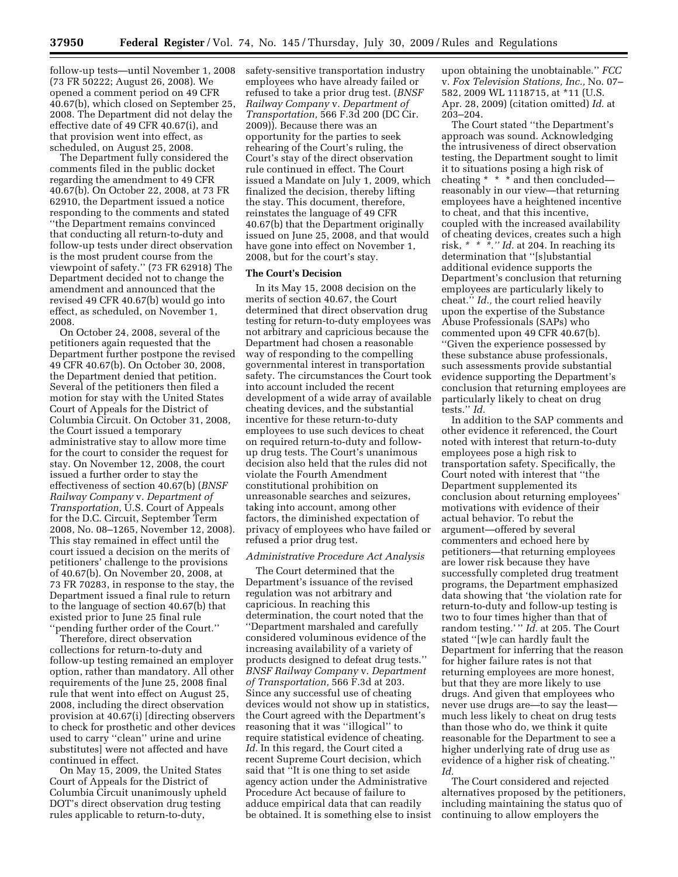follow-up tests—until November 1, 2008 (73 FR 50222; August 26, 2008). We opened a comment period on 49 CFR 40.67(b), which closed on September 25, 2008. The Department did not delay the effective date of 49 CFR 40.67(i), and that provision went into effect, as scheduled, on August 25, 2008.

The Department fully considered the comments filed in the public docket regarding the amendment to 49 CFR 40.67(b). On October 22, 2008, at 73 FR 62910, the Department issued a notice responding to the comments and stated ''the Department remains convinced that conducting all return-to-duty and follow-up tests under direct observation is the most prudent course from the viewpoint of safety.'' (73 FR 62918) The Department decided not to change the amendment and announced that the revised 49 CFR 40.67(b) would go into effect, as scheduled, on November 1, 2008.

On October 24, 2008, several of the petitioners again requested that the Department further postpone the revised 49 CFR 40.67(b). On October 30, 2008, the Department denied that petition. Several of the petitioners then filed a motion for stay with the United States Court of Appeals for the District of Columbia Circuit. On October 31, 2008, the Court issued a temporary administrative stay to allow more time for the court to consider the request for stay. On November 12, 2008, the court issued a further order to stay the effectiveness of section 40.67(b) (*BNSF Railway Company* v. *Department of Transportation,* U.S. Court of Appeals for the D.C. Circuit, September Term 2008, No. 08–1265, November 12, 2008). This stay remained in effect until the court issued a decision on the merits of petitioners' challenge to the provisions of 40.67(b). On November 20, 2008, at 73 FR 70283, in response to the stay, the Department issued a final rule to return to the language of section 40.67(b) that existed prior to June 25 final rule ''pending further order of the Court.''

Therefore, direct observation collections for return-to-duty and follow-up testing remained an employer option, rather than mandatory. All other requirements of the June 25, 2008 final rule that went into effect on August 25, 2008, including the direct observation provision at 40.67(i) [directing observers to check for prosthetic and other devices used to carry ''clean'' urine and urine substitutes] were not affected and have continued in effect.

On May 15, 2009, the United States Court of Appeals for the District of Columbia Circuit unanimously upheld DOT's direct observation drug testing rules applicable to return-to-duty,

safety-sensitive transportation industry employees who have already failed or refused to take a prior drug test. (*BNSF Railway Company* v. *Department of Transportation,* 566 F.3d 200 (DC Cir. 2009)). Because there was an opportunity for the parties to seek rehearing of the Court's ruling, the Court's stay of the direct observation rule continued in effect. The Court issued a Mandate on July 1, 2009, which finalized the decision, thereby lifting the stay. This document, therefore, reinstates the language of 49 CFR 40.67(b) that the Department originally issued on June 25, 2008, and that would have gone into effect on November 1, 2008, but for the court's stay.

### **The Court's Decision**

In its May 15, 2008 decision on the merits of section 40.67, the Court determined that direct observation drug testing for return-to-duty employees was not arbitrary and capricious because the Department had chosen a reasonable way of responding to the compelling governmental interest in transportation safety. The circumstances the Court took into account included the recent development of a wide array of available cheating devices, and the substantial incentive for these return-to-duty employees to use such devices to cheat on required return-to-duty and followup drug tests. The Court's unanimous decision also held that the rules did not violate the Fourth Amendment constitutional prohibition on unreasonable searches and seizures, taking into account, among other factors, the diminished expectation of privacy of employees who have failed or refused a prior drug test.

#### *Administrative Procedure Act Analysis*

The Court determined that the Department's issuance of the revised regulation was not arbitrary and capricious. In reaching this determination, the court noted that the ''Department marshaled and carefully considered voluminous evidence of the increasing availability of a variety of products designed to defeat drug tests.'' *BNSF Railway Company* v. *Department of Transportation,* 566 F.3d at 203. Since any successful use of cheating devices would not show up in statistics, the Court agreed with the Department's reasoning that it was ''illogical'' to require statistical evidence of cheating. Id. In this regard, the Court cited a recent Supreme Court decision, which said that ''It is one thing to set aside agency action under the Administrative Procedure Act because of failure to adduce empirical data that can readily be obtained. It is something else to insist upon obtaining the unobtainable.'' *FCC*  v. *Fox Television Stations, Inc.,* No. 07– 582, 2009 WL 1118715, at \*11 (U.S. Apr. 28, 2009) (citation omitted) *Id.* at 203–204.

The Court stated ''the Department's approach was sound. Acknowledging the intrusiveness of direct observation testing, the Department sought to limit it to situations posing a high risk of cheating  $* * *$  and then concluded reasonably in our view—that returning employees have a heightened incentive to cheat, and that this incentive, coupled with the increased availability of cheating devices, creates such a high risk, *\* \* \*.'' Id.* at 204. In reaching its determination that ''[s]ubstantial additional evidence supports the Department's conclusion that returning employees are particularly likely to cheat.'' *Id.,* the court relied heavily upon the expertise of the Substance Abuse Professionals (SAPs) who commented upon 49 CFR 40.67(b). ''Given the experience possessed by these substance abuse professionals, such assessments provide substantial evidence supporting the Department's conclusion that returning employees are particularly likely to cheat on drug tests.'' *Id.* 

In addition to the SAP comments and other evidence it referenced, the Court noted with interest that return-to-duty employees pose a high risk to transportation safety. Specifically, the Court noted with interest that ''the Department supplemented its conclusion about returning employees' motivations with evidence of their actual behavior. To rebut the argument—offered by several commenters and echoed here by petitioners—that returning employees are lower risk because they have successfully completed drug treatment programs, the Department emphasized data showing that 'the violation rate for return-to-duty and follow-up testing is two to four times higher than that of random testing.' '' *Id.* at 205. The Court stated ''[w]e can hardly fault the Department for inferring that the reason for higher failure rates is not that returning employees are more honest, but that they are more likely to use drugs. And given that employees who never use drugs are—to say the least much less likely to cheat on drug tests than those who do, we think it quite reasonable for the Department to see a higher underlying rate of drug use as evidence of a higher risk of cheating.'' *Id.* 

The Court considered and rejected alternatives proposed by the petitioners, including maintaining the status quo of continuing to allow employers the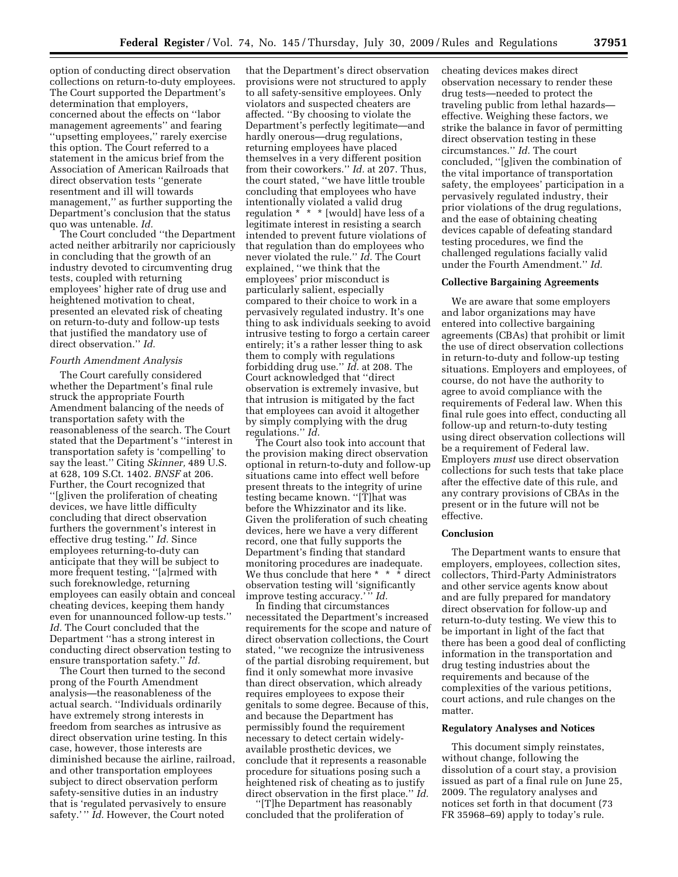option of conducting direct observation collections on return-to-duty employees. The Court supported the Department's determination that employers, concerned about the effects on ''labor management agreements'' and fearing ''upsetting employees,'' rarely exercise this option. The Court referred to a statement in the amicus brief from the Association of American Railroads that direct observation tests ''generate resentment and ill will towards management,'' as further supporting the Department's conclusion that the status quo was untenable. *Id.* 

The Court concluded ''the Department acted neither arbitrarily nor capriciously in concluding that the growth of an industry devoted to circumventing drug tests, coupled with returning employees' higher rate of drug use and heightened motivation to cheat, presented an elevated risk of cheating on return-to-duty and follow-up tests that justified the mandatory use of direct observation.'' *Id.* 

### *Fourth Amendment Analysis*

The Court carefully considered whether the Department's final rule struck the appropriate Fourth Amendment balancing of the needs of transportation safety with the reasonableness of the search. The Court stated that the Department's ''interest in transportation safety is 'compelling' to say the least.'' Citing *Skinner,* 489 U.S. at 628, 109 S.Ct. 1402. *BNSF* at 206. Further, the Court recognized that ''[g]iven the proliferation of cheating devices, we have little difficulty concluding that direct observation furthers the government's interest in effective drug testing.'' *Id.* Since employees returning-to-duty can anticipate that they will be subject to more frequent testing, ''[a]rmed with such foreknowledge, returning employees can easily obtain and conceal cheating devices, keeping them handy even for unannounced follow-up tests.'' *Id.* The Court concluded that the Department ''has a strong interest in conducting direct observation testing to ensure transportation safety.'' *Id.* 

The Court then turned to the second prong of the Fourth Amendment analysis—the reasonableness of the actual search. ''Individuals ordinarily have extremely strong interests in freedom from searches as intrusive as direct observation urine testing. In this case, however, those interests are diminished because the airline, railroad, and other transportation employees subject to direct observation perform safety-sensitive duties in an industry that is 'regulated pervasively to ensure safety.' '' *Id.* However, the Court noted

that the Department's direct observation provisions were not structured to apply to all safety-sensitive employees. Only violators and suspected cheaters are affected. ''By choosing to violate the Department's perfectly legitimate—and hardly onerous—drug regulations, returning employees have placed themselves in a very different position from their coworkers.'' *Id.* at 207. Thus, the court stated, ''we have little trouble concluding that employees who have intentionally violated a valid drug regulation \* \* \* [would] have less of a legitimate interest in resisting a search intended to prevent future violations of that regulation than do employees who never violated the rule.'' *Id.* The Court explained, ''we think that the employees' prior misconduct is particularly salient, especially compared to their choice to work in a pervasively regulated industry. It's one thing to ask individuals seeking to avoid intrusive testing to forgo a certain career entirely; it's a rather lesser thing to ask them to comply with regulations forbidding drug use.'' *Id.* at 208. The Court acknowledged that ''direct observation is extremely invasive, but that intrusion is mitigated by the fact that employees can avoid it altogether by simply complying with the drug regulations.'' *Id.* 

The Court also took into account that the provision making direct observation optional in return-to-duty and follow-up situations came into effect well before present threats to the integrity of urine testing became known. ''[T]hat was before the Whizzinator and its like. Given the proliferation of such cheating devices, here we have a very different record, one that fully supports the Department's finding that standard monitoring procedures are inadequate. We thus conclude that here \* \* \* direct observation testing will 'significantly improve testing accuracy.' '' *Id.* 

In finding that circumstances necessitated the Department's increased requirements for the scope and nature of direct observation collections, the Court stated, ''we recognize the intrusiveness of the partial disrobing requirement, but find it only somewhat more invasive than direct observation, which already requires employees to expose their genitals to some degree. Because of this, and because the Department has permissibly found the requirement necessary to detect certain widelyavailable prosthetic devices, we conclude that it represents a reasonable procedure for situations posing such a heightened risk of cheating as to justify direct observation in the first place.'' *Id.* 

'[T]he Department has reasonably concluded that the proliferation of

cheating devices makes direct observation necessary to render these drug tests—needed to protect the traveling public from lethal hazards effective. Weighing these factors, we strike the balance in favor of permitting direct observation testing in these circumstances.'' *Id.* The court concluded, ''[g]iven the combination of the vital importance of transportation safety, the employees' participation in a pervasively regulated industry, their prior violations of the drug regulations, and the ease of obtaining cheating devices capable of defeating standard testing procedures, we find the challenged regulations facially valid under the Fourth Amendment.'' *Id.* 

#### **Collective Bargaining Agreements**

We are aware that some employers and labor organizations may have entered into collective bargaining agreements (CBAs) that prohibit or limit the use of direct observation collections in return-to-duty and follow-up testing situations. Employers and employees, of course, do not have the authority to agree to avoid compliance with the requirements of Federal law. When this final rule goes into effect, conducting all follow-up and return-to-duty testing using direct observation collections will be a requirement of Federal law. Employers *must* use direct observation collections for such tests that take place after the effective date of this rule, and any contrary provisions of CBAs in the present or in the future will not be effective.

### **Conclusion**

The Department wants to ensure that employers, employees, collection sites, collectors, Third-Party Administrators and other service agents know about and are fully prepared for mandatory direct observation for follow-up and return-to-duty testing. We view this to be important in light of the fact that there has been a good deal of conflicting information in the transportation and drug testing industries about the requirements and because of the complexities of the various petitions, court actions, and rule changes on the matter.

#### **Regulatory Analyses and Notices**

This document simply reinstates, without change, following the dissolution of a court stay, a provision issued as part of a final rule on June 25, 2009. The regulatory analyses and notices set forth in that document (73 FR 35968–69) apply to today's rule.